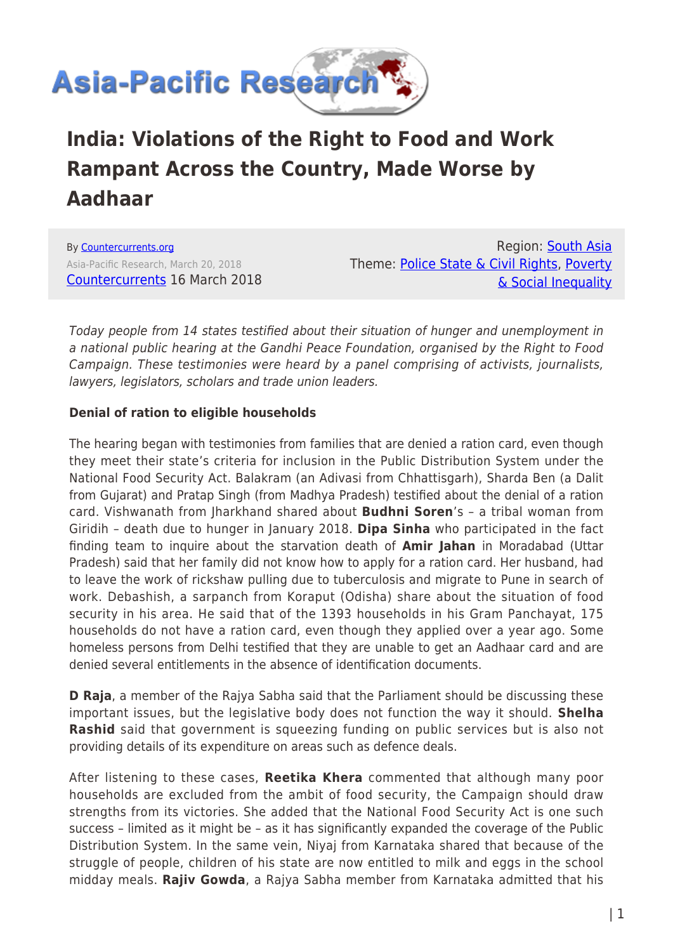

# **India: Violations of the Right to Food and Work Rampant Across the Country, Made Worse by Aadhaar**

By [Countercurrents.org](https://www.asia-pacificresearch.com/author/countercurrents-org) Asia-Pacific Research, March 20, 2018 [Countercurrents](https://countercurrents.org/2018/03/16/violations-of-the-right-to-food-and-work-rampant-across-the-country-made-worse-by-aadhaar/) 16 March 2018

Region: [South Asia](https://www.asia-pacificresearch.com/region/south-asia) Theme: [Police State & Civil Rights](https://www.asia-pacificresearch.com/theme/police-state-civil-rights), [Poverty](https://www.asia-pacificresearch.com/theme/poverty-social-inequality) [& Social Inequality](https://www.asia-pacificresearch.com/theme/poverty-social-inequality)

Today people from 14 states testified about their situation of hunger and unemployment in a national public hearing at the Gandhi Peace Foundation, organised by the Right to Food Campaign. These testimonies were heard by a panel comprising of activists, journalists, lawyers, legislators, scholars and trade union leaders.

# **Denial of ration to eligible households**

The hearing began with testimonies from families that are denied a ration card, even though they meet their state's criteria for inclusion in the Public Distribution System under the National Food Security Act. Balakram (an Adivasi from Chhattisgarh), Sharda Ben (a Dalit from Gujarat) and Pratap Singh (from Madhya Pradesh) testified about the denial of a ration card. Vishwanath from Jharkhand shared about **Budhni Soren**'s – a tribal woman from Giridih – death due to hunger in January 2018. **Dipa Sinha** who participated in the fact finding team to inquire about the starvation death of **Amir Jahan** in Moradabad (Uttar Pradesh) said that her family did not know how to apply for a ration card. Her husband, had to leave the work of rickshaw pulling due to tuberculosis and migrate to Pune in search of work. Debashish, a sarpanch from Koraput (Odisha) share about the situation of food security in his area. He said that of the 1393 households in his Gram Panchayat, 175 households do not have a ration card, even though they applied over a year ago. Some homeless persons from Delhi testified that they are unable to get an Aadhaar card and are denied several entitlements in the absence of identification documents.

**D Raja**, a member of the Rajya Sabha said that the Parliament should be discussing these important issues, but the legislative body does not function the way it should. **Shelha Rashid** said that government is squeezing funding on public services but is also not providing details of its expenditure on areas such as defence deals.

After listening to these cases, **Reetika Khera** commented that although many poor households are excluded from the ambit of food security, the Campaign should draw strengths from its victories. She added that the National Food Security Act is one such success – limited as it might be – as it has significantly expanded the coverage of the Public Distribution System. In the same vein, Niyaj from Karnataka shared that because of the struggle of people, children of his state are now entitled to milk and eggs in the school midday meals. **Rajiv Gowda**, a Rajya Sabha member from Karnataka admitted that his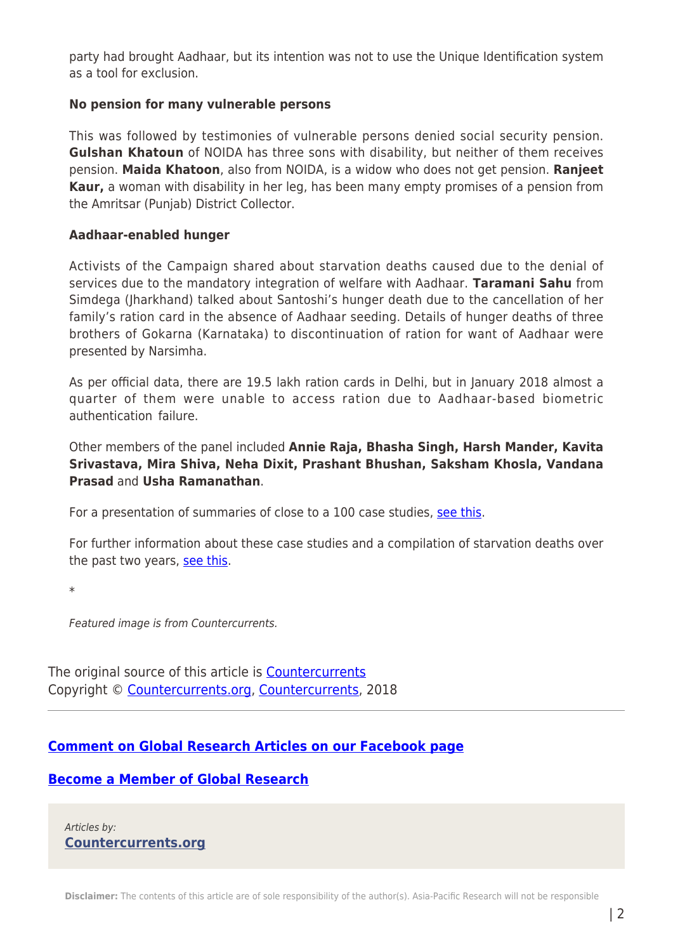party had brought Aadhaar, but its intention was not to use the Unique Identification system as a tool for exclusion.

## **No pension for many vulnerable persons**

This was followed by testimonies of vulnerable persons denied social security pension. **Gulshan Khatoun** of NOIDA has three sons with disability, but neither of them receives pension. **Maida Khatoon**, also from NOIDA, is a widow who does not get pension. **Ranjeet Kaur,** a woman with disability in her leg, has been many empty promises of a pension from the Amritsar (Punjab) District Collector.

#### **Aadhaar-enabled hunger**

Activists of the Campaign shared about starvation deaths caused due to the denial of services due to the mandatory integration of welfare with Aadhaar. **Taramani Sahu** from Simdega (Jharkhand) talked about Santoshi's hunger death due to the cancellation of her family's ration card in the absence of Aadhaar seeding. Details of hunger deaths of three brothers of Gokarna (Karnataka) to discontinuation of ration for want of Aadhaar were presented by Narsimha.

As per official data, there are 19.5 lakh ration cards in Delhi, but in January 2018 almost a quarter of them were unable to access ration due to Aadhaar-based biometric authentication failure.

Other members of the panel included **Annie Raja, Bhasha Singh, Harsh Mander, Kavita Srivastava, Mira Shiva, Neha Dixit, Prashant Bhushan, Saksham Khosla, Vandana Prasad** and **Usha Ramanathan**.

For a presentation of summaries of close to a 100 case studies, [see this](https://docs.google.com/presentation/d/1qQAJ5yPgBWajG7wZkV2xqQ6vVF9apoMDCldG40uDwEE/edit?usp=sharing).

For further information about these case studies and a compilation of starvation deaths over the past two years, [see this.](https://drive.google.com/drive/u/3/folders/1-AYYtztKwSxstyFeEJ1S3fLOw6EG9eLH)

\*

Featured image is from Countercurrents.

The original source of this article is **[Countercurrents](https://countercurrents.org/2018/03/16/violations-of-the-right-to-food-and-work-rampant-across-the-country-made-worse-by-aadhaar/)** Copyright © [Countercurrents.org](https://www.asia-pacificresearch.com/author/countercurrents-org), [Countercurrents](https://countercurrents.org/2018/03/16/violations-of-the-right-to-food-and-work-rampant-across-the-country-made-worse-by-aadhaar/), 2018

# **[Comment on Global Research Articles on our Facebook page](https://www.facebook.com/GlobalResearchCRG)**

## **[Become a Member of Global Research](https://store.globalresearch.ca/member/)**

Articles by: **[Countercurrents.org](https://www.asia-pacificresearch.com/author/countercurrents-org)**